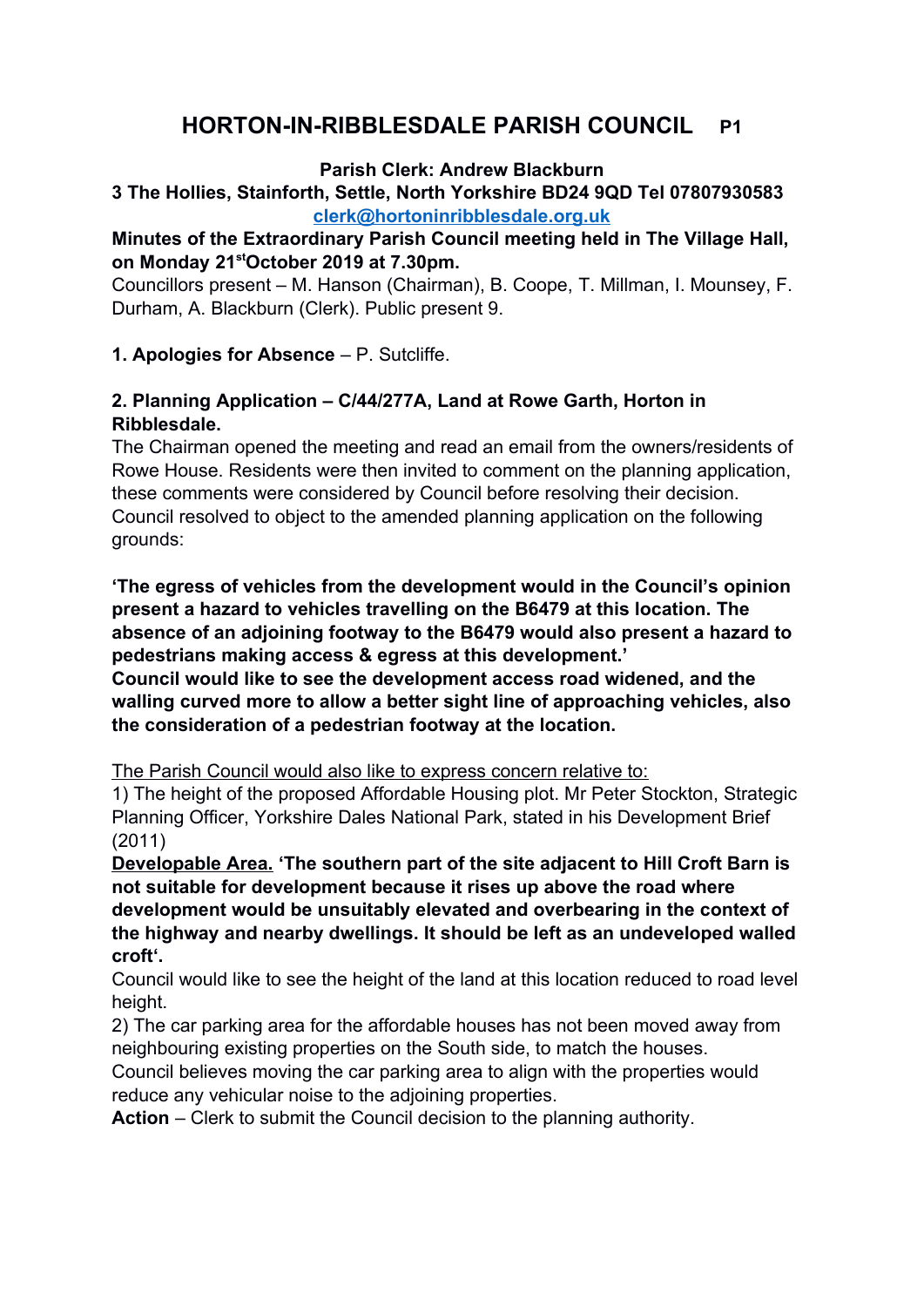# **HORTON-IN-RIBBLESDALE PARISH COUNCIL P1**

#### **Parish Clerk: Andrew Blackburn**

## **3 The Hollies, Stainforth, Settle, North Yorkshire BD24 9QD Tel 07807930583 [clerk@hortoninribblesdale.org.uk](mailto:clerk@hortoninribblesdale.org.uk)**

## **Minutes of the Extraordinary Parish Council meeting held in The Village Hall, on Monday 21stOctober 2019 at 7.30pm.**

Councillors present – M. Hanson (Chairman), B. Coope, T. Millman, I. Mounsey, F. Durham, A. Blackburn (Clerk). Public present 9.

**1. Apologies for Absence** – P. Sutcliffe.

## **2. Planning Application – C/44/277A, Land at Rowe Garth, Horton in Ribblesdale.**

The Chairman opened the meeting and read an email from the owners/residents of Rowe House. Residents were then invited to comment on the planning application, these comments were considered by Council before resolving their decision. Council resolved to object to the amended planning application on the following grounds:

**'The egress of vehicles from the development would in the Council's opinion present a hazard to vehicles travelling on the B6479 at this location. The absence of an adjoining footway to the B6479 would also present a hazard to pedestrians making access & egress at this development.'** 

**Council would like to see the development access road widened, and the walling curved more to allow a better sight line of approaching vehicles, also the consideration of a pedestrian footway at the location.**

The Parish Council would also like to express concern relative to:

1) The height of the proposed Affordable Housing plot. Mr Peter Stockton, Strategic Planning Officer, Yorkshire Dales National Park, stated in his Development Brief (2011)

**Developable Area. 'The southern part of the site adjacent to Hill Croft Barn is not suitable for development because it rises up above the road where development would be unsuitably elevated and overbearing in the context of the highway and nearby dwellings. It should be left as an undeveloped walled croft'.**

Council would like to see the height of the land at this location reduced to road level height.

2) The car parking area for the affordable houses has not been moved away from neighbouring existing properties on the South side, to match the houses.

Council believes moving the car parking area to align with the properties would reduce any vehicular noise to the adjoining properties.

**Action** – Clerk to submit the Council decision to the planning authority.